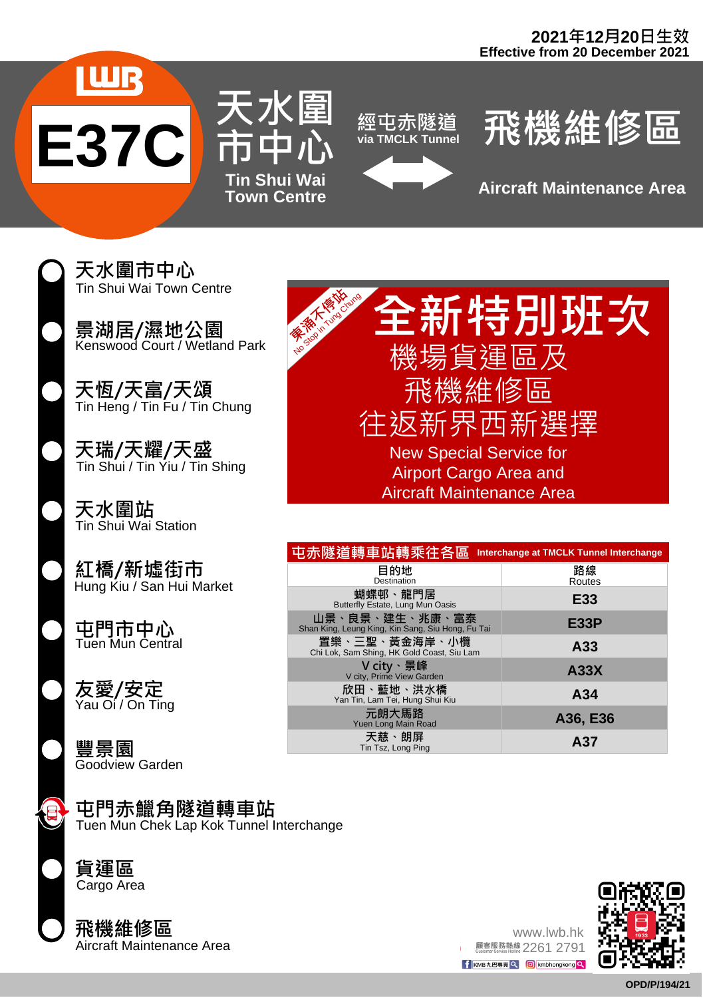







**Town Centre Aircraft Maintenance Area**

天水圍市中心 Tin Shui Wai Town Centre

景湖居/濕地公園 Kenswood Court / Wetland Park

天恆/天富/天頌 Tin Heng / Tin Fu / Tin Chung

天瑞/天耀/天盛 Tin Shui / Tin Yiu / Tin Shing

天水圍站 Tin Shui Wai Station

紅橋/新墟街市 Hung Kiu / San Hui Market

屯門市中心 Tuen Mun Central

Yau Oi / On Ting 友愛/安定

豐景園 Goodview Garden

## 屯門赤鱲角隧道轉車站

Tuen Mun Chek Lap Kok Tunnel Interchange



Cargo Area

飛機維修區<br><sup>Aircraft Maintenance Area</sup>



| 屯赤隧道轉車站轉乘往各區                                                        | Interchange at TMCLK Tunnel Interchange |
|---------------------------------------------------------------------|-----------------------------------------|
| 目的地<br>Destination                                                  | 路線<br>Routes                            |
| 蝴蝶邨、龍門居<br>Butterfly Estate, Lung Mun Oasis                         | E33                                     |
| 山景、良景、建生、兆康、富泰<br>Shan King, Leung King, Kin Sang, Siu Hong, Fu Tai | E33P                                    |
| 置樂、三聖、黃金海岸、小欖<br>Chi Lok, Sam Shing, HK Gold Coast, Siu Lam         | A33                                     |
| V city、景峰<br>V city, Prime View Garden                              | A33X                                    |
| 欣田、藍地、洪水橋<br>Yan Tin, Lam Tei, Hung Shui Kiu                        | A34                                     |
| 元朗大馬路<br>Yuen Long Main Road                                        | A36, E36                                |
| 天慈、朗屏<br>Tin Tsz, Long Ping                                         | A37                                     |

www.lwb.hk<br><sup>顧客服務熱線</sup> 2261 2791

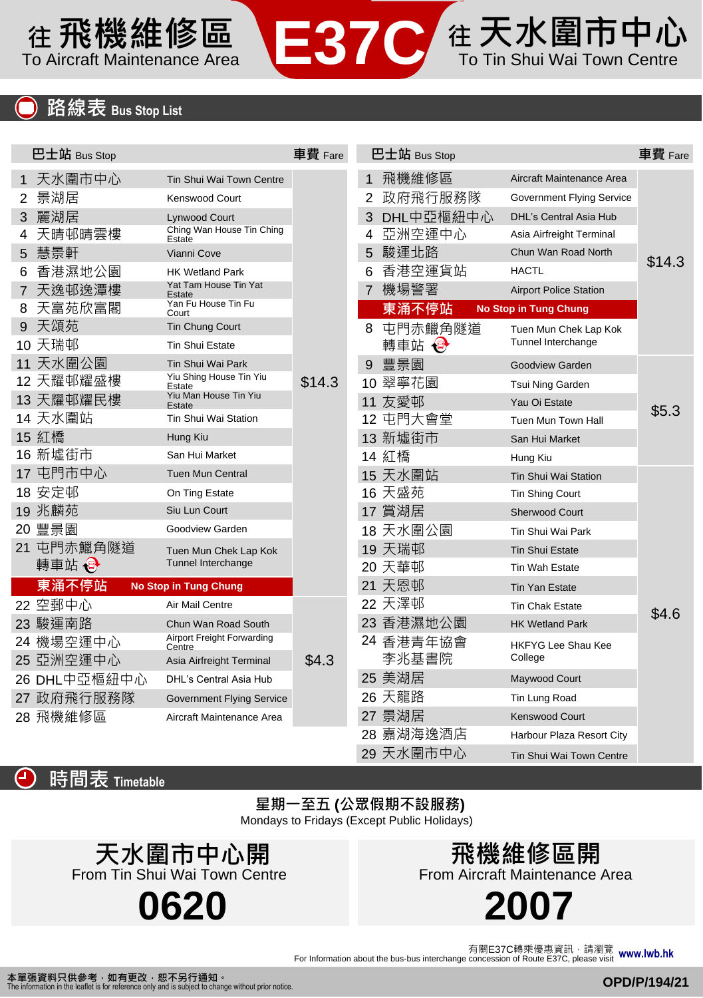## 往 天水圍市中心 在飛機維修區 To Aircraft Maintenance Area **Tage To Tele To Tim Shui Wai Town Centre**

|    | <u>路線表 Bus Stop List</u> |                                      |         |   |              |                               |         |
|----|--------------------------|--------------------------------------|---------|---|--------------|-------------------------------|---------|
|    |                          |                                      |         |   |              |                               |         |
|    | 巴士站 Bus Stop             |                                      | 車費 Fare |   | 巴士站 Bus Stop |                               | 車費 Fare |
|    | 1 天水圍市中心                 | Tin Shui Wai Town Centre             |         | 1 | 飛機維修區        | Aircraft Maintenance Area     |         |
| 2  | 景湖居                      | Kenswood Court                       |         | 2 | 政府飛行服務隊      | Government Flying Service     |         |
| 3. | 麗湖居                      | Lynwood Court                        |         | 3 | DHL中亞樞紐中心    | <b>DHL's Central Asia Hub</b> | \$14.3  |
|    | 天晴邨晴雲樓                   | Ching Wan House Tin Ching<br>Estate  |         | 4 | 亞洲空運中心       | Asia Airfreight Terminal      |         |
|    | 5 慧景軒                    | Vianni Cove                          |         | 5 | 駿運北路         | Chun Wan Road North           |         |
| 6  | 香港濕地公園                   | <b>HK Wetland Park</b>               |         | 6 | 香港空運貨站       | <b>HACTL</b>                  |         |
|    | 7 天逸邨逸潭樓                 | Yat Tam House Tin Yat<br>Estate      |         | 7 | 機場警署         | <b>Airport Police Station</b> |         |
|    | 8 天富苑欣富閣                 | Yan Fu House Tin Fu<br>Court         |         |   | 東涌不停站        | <b>No Stop in Tung Chung</b>  |         |
|    | 9 天頌苑                    | Tin Chung Court                      |         |   | 8 屯門赤鱲角隧道    | Tuen Mun Chek Lap Kok         |         |
|    | 10 天瑞邨                   | <b>Tin Shui Estate</b>               |         |   | 轉車站 母        | Tunnel Interchange            |         |
|    | 11 天水圍公園                 | Tin Shui Wai Park                    |         | 9 | 豐景園          | Goodview Garden               |         |
|    | 12 天耀邨耀盛樓                | Yiu Shing House Tin Yiu<br>Estate    | \$14.3  |   | 10 翠寧花園      | Tsui Ning Garden              |         |
|    | 13 天耀邨耀民樓                | Yiu Man House Tin Yiu<br>Estate      |         |   | 11 友愛邨       | Yau Oi Estate                 | \$5.3   |
|    | 14 天水圍站                  | Tin Shui Wai Station                 |         |   | 12 屯門大會堂     | Tuen Mun Town Hall            |         |
|    | 15 紅橋                    | Hung Kiu                             |         |   | 13 新墟街市      | San Hui Market                |         |
|    | 16 新墟街市                  | San Hui Market                       |         |   | 14 紅橋        | Hung Kiu                      |         |
|    | 17 屯門市中心                 | <b>Tuen Mun Central</b>              |         |   | 15 天水圍站      | Tin Shui Wai Station          |         |
|    | 18 安定邨                   | On Ting Estate                       |         |   | 16 天盛苑       | <b>Tin Shing Court</b>        |         |
|    | 19 兆麟苑                   | Siu Lun Court                        |         |   | 17 賞湖居       | <b>Sherwood Court</b>         |         |
|    | 20 豐景園                   | Goodview Garden                      |         |   | 18 天水圍公園     | Tin Shui Wai Park             |         |
|    | 21 屯門赤鱲角隧道               | Tuen Mun Chek Lap Kok                |         |   | 19 天瑞邨       | <b>Tin Shui Estate</b>        |         |
|    | 轉車站 →                    | Tunnel Interchange                   |         |   | 20 天華邨       | <b>Tin Wah Estate</b>         |         |
|    | 東涌不停站                    | <b>No Stop in Tung Chung</b>         |         |   | 21 天恩邨       | <b>Tin Yan Estate</b>         |         |
|    | 22 空郵中心                  | Air Mail Centre                      |         |   | 22 天澤邨       | <b>Tin Chak Estate</b>        | \$4.6   |
|    | 23 駿運南路                  | Chun Wan Road South                  |         |   | 23 香港濕地公園    | <b>HK Wetland Park</b>        |         |
|    | 24 機場空運中心                | Airport Freight Forwarding<br>Centre |         |   | 24 香港青年協會    | HKFYG Lee Shau Kee            |         |
|    | 25 亞洲空運中心                | Asia Airfreight Terminal             | \$4.3   |   | 李兆基書院        | College                       |         |
|    | 26 DHL中亞樞紐中心             | DHL's Central Asia Hub               |         |   | 25 美湖居       | Maywood Court                 |         |
|    | 27 政府飛行服務隊               | <b>Government Flying Service</b>     |         |   | 26 天龍路       | Tin Lung Road                 |         |
|    | 28 飛機維修區                 | Aircraft Maintenance Area            |         |   | 27 景湖居       | <b>Kenswood Court</b>         |         |
|    |                          |                                      |         |   | 28 嘉湖海逸酒店    | Harbour Plaza Resort City     |         |
|    |                          |                                      |         |   | 29 天水圍市中心    | Tin Shui Wai Town Centre      |         |



## 星期一至五 **(**公眾假期不設服務**)**

Mondays to Fridays (Except Public Holidays)

**0620** 天水圍市中心開 From Tin Shui Wai Town Centre

飛機維修區開 From Aircraft Maintenance Area

**2007**

For Information about the bus-bus interchange concession of Route E37C, please visit 有關E37C轉乘優惠資訊,請瀏覽 **www.lwb.hk**

本單張資料只供參考,如有更改,恕不另行通知。<br>The information in the leaflet is for reference only and is subject to chang bject to change without prior notice.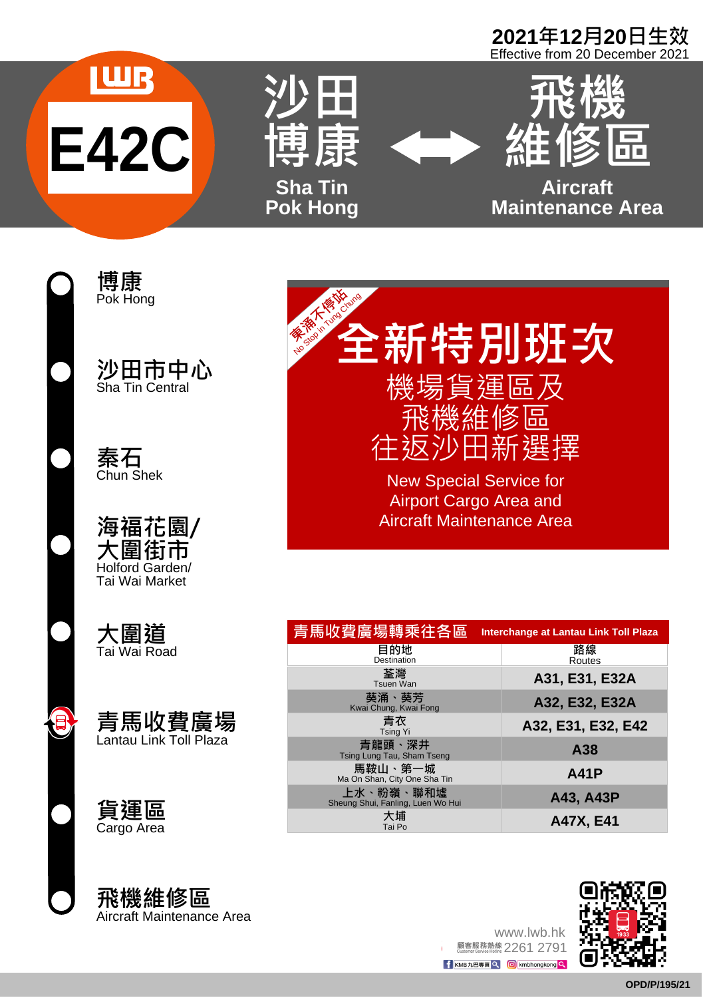# **2021**年**12**月**20**日生效 Effective from 20 December 2021



博康 Pok Hong

沙田市中心 Sha Tin Central

秦石 Chun Shek

海福花園/ 大圍街市 Holford Garden/ Tai Wai Market

大圍道 Tai Wai Road



貨運區 Cargo Area

飛機維修區<br>Aircraft Maintenance Area

**《 全新特別班次** 安全 大会 地

機場貨運區及 飛機維修區 往返沙田新選擇

New Special Service for Airport Cargo Area and Aircraft Maintenance Area

| 青馬收費廣場轉乘往各區                                    | Interchange at Lantau Link Toll Plaza |
|------------------------------------------------|---------------------------------------|
| 目的地<br>Destination                             | 路線<br>Routes                          |
| 荃灣<br>Tsuen Wan                                | A31, E31, E32A                        |
| 葵涌、葵芳<br>Kwai Chung, Kwai Fong                 | A32, E32, E32A                        |
| 青衣<br><b>Tsing Yi</b>                          | A32, E31, E32, E42                    |
| 青龍頭、深井<br>Tsing Lung Tau, Sham Tseng           | A38                                   |
| 馬鞍山、第一城<br>Ma On Shan, City One Sha Tin        | <b>A41P</b>                           |
| 上水、粉嶺、聯和墟<br>Sheung Shui, Fanling, Luen Wo Hui | A43, A43P                             |
| 大埔<br>Tai Po                                   | A47X, E41                             |

Aircraft Maintenance Area<br>**OPP/2006 Aircraft Maintenance Area**<br>COPP/2007 Aircraft Maintenance Area<br>COPP/2007 Aircraft Maintenance Area<br>OPP/2007 Aircraft Maintenance Area www.lwb.hk<br>2261 2791 <sup>顧客服務熱線</sup>